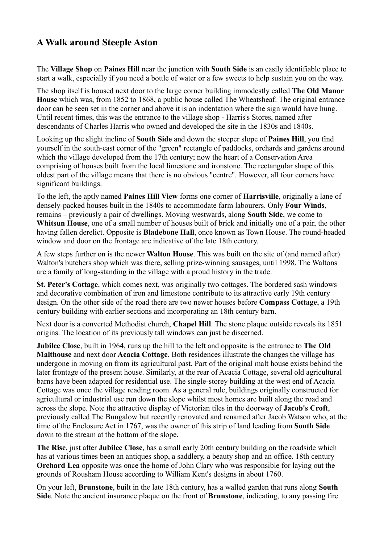## **A Walk around Steeple Aston**

The **Village Shop** on **Paines Hill** near the junction with **South Side** is an easily identifiable place to start a walk, especially if you need a bottle of water or a few sweets to help sustain you on the way.

The shop itself is housed next door to the large corner building immodestly called **The Old Manor House** which was, from 1852 to 1868, a public house called The Wheatsheaf. The original entrance door can be seen set in the corner and above it is an indentation where the sign would have hung. Until recent times, this was the entrance to the village shop - Harris's Stores, named after descendants of Charles Harris who owned and developed the site in the 1830s and 1840s.

Looking up the slight incline of **South Side** and down the steeper slope of **Paines Hill**, you find yourself in the south-east corner of the "green" rectangle of paddocks, orchards and gardens around which the village developed from the 17th century; now the heart of a Conservation Area comprising of houses built from the local limestone and ironstone. The rectangular shape of this oldest part of the village means that there is no obvious "centre". However, all four corners have significant buildings.

To the left, the aptly named **Paines Hill View** forms one corner of **Harrisville**, originally a lane of densely-packed houses built in the 1840s to accommodate farm labourers. Only **Four Winds**, remains – previously a pair of dwellings. Moving westwards, along **South Side**, we come to **Whitsun House**, one of a small number of houses built of brick and initially one of a pair, the other having fallen derelict. Opposite is **Bladebone Hall**, once known as Town House. The round-headed window and door on the frontage are indicative of the late 18th century.

A few steps further on is the newer **Walton House**. This was built on the site of (and named after) Walton's butchers shop which was there, selling prize-winning sausages, until 1998. The Waltons are a family of long-standing in the village with a proud history in the trade.

**St. Peter's Cottage**, which comes next, was originally two cottages. The bordered sash windows and decorative combination of iron and limestone contribute to its attractive early 19th century design. On the other side of the road there are two newer houses before **Compass Cottage**, a 19th century building with earlier sections and incorporating an 18th century barn.

Next door is a converted Methodist church, **Chapel Hill**. The stone plaque outside reveals its 1851 origins. The location of its previously tall windows can just be discerned.

**Jubilee Close**, built in 1964, runs up the hill to the left and opposite is the entrance to **The Old Malthouse** and next door **Acacia Cottage**. Both residences illustrate the changes the village has undergone in moving on from its agricultural past. Part of the original malt house exists behind the later frontage of the present house. Similarly, at the rear of Acacia Cottage, several old agricultural barns have been adapted for residential use. The single-storey building at the west end of Acacia Cottage was once the village reading room. As a general rule, buildings originally constructed for agricultural or industrial use run down the slope whilst most homes are built along the road and across the slope. Note the attractive display of Victorian tiles in the doorway of **Jacob's Croft**, previously called The Bungalow but recently renovated and renamed after Jacob Watson who, at the time of the Enclosure Act in 1767, was the owner of this strip of land leading from **South Side** down to the stream at the bottom of the slope.

**The Rise**, just after **Jubilee Close**, has a small early 20th century building on the roadside which has at various times been an antiques shop, a saddlery, a beauty shop and an office. 18th century **Orchard Lea** opposite was once the home of John Clary who was responsible for laying out the grounds of Rousham House according to William Kent's designs in about 1760.

On your left, **Brunstone**, built in the late 18th century, has a walled garden that runs along **South Side**. Note the ancient insurance plaque on the front of **Brunstone**, indicating, to any passing fire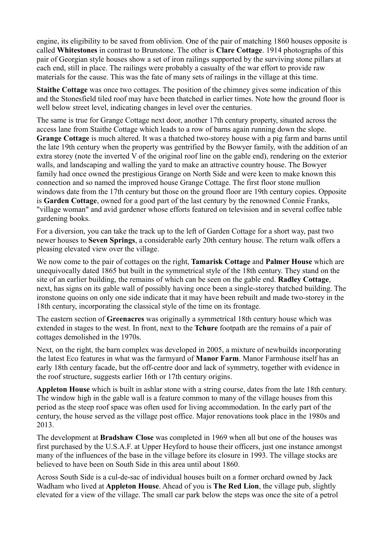engine, its eligibility to be saved from oblivion. One of the pair of matching 1860 houses opposite is called **Whitestones** in contrast to Brunstone. The other is **Clare Cottage**. 1914 photographs of this pair of Georgian style houses show a set of iron railings supported by the surviving stone pillars at each end, still in place. The railings were probably a casualty of the war effort to provide raw materials for the cause. This was the fate of many sets of railings in the village at this time.

**Staithe Cottage** was once two cottages. The position of the chimney gives some indication of this and the Stonesfield tiled roof may have been thatched in earlier times. Note how the ground floor is well below street level, indicating changes in level over the centuries.

The same is true for Grange Cottage next door, another 17th century property, situated across the access lane from Staithe Cottage which leads to a row of barns again running down the slope. **Grange Cottage** is much altered. It was a thatched two-storey house with a pig farm and barns until the late 19th century when the property was gentrified by the Bowyer family, with the addition of an extra storey (note the inverted V of the original roof line on the gable end), rendering on the exterior walls, and landscaping and walling the yard to make an attractive country house. The Bowyer family had once owned the prestigious Grange on North Side and were keen to make known this connection and so named the improved house Grange Cottage. The first floor stone mullion windows date from the 17th century but those on the ground floor are 19th century copies. Opposite is **Garden Cottage**, owned for a good part of the last century by the renowned Connie Franks, "village woman" and avid gardener whose efforts featured on television and in several coffee table gardening books.

For a diversion, you can take the track up to the left of Garden Cottage for a short way, past two newer houses to **Seven Springs**, a considerable early 20th century house. The return walk offers a pleasing elevated view over the village.

We now come to the pair of cottages on the right, **Tamarisk Cottage** and **Palmer House** which are unequivocally dated 1865 but built in the symmetrical style of the 18th century. They stand on the site of an earlier building, the remains of which can be seen on the gable end. **Radley Cottage**, next, has signs on its gable wall of possibly having once been a single-storey thatched building. The ironstone quoins on only one side indicate that it may have been rebuilt and made two-storey in the 18th century, incorporating the classical style of the time on its frontage.

The eastern section of **Greenacres** was originally a symmetrical 18th century house which was extended in stages to the west. In front, next to the **Tchure** footpath are the remains of a pair of cottages demolished in the 1970s.

Next, on the right, the barn complex was developed in 2005, a mixture of newbuilds incorporating the latest Eco features in what was the farmyard of **Manor Farm**. Manor Farmhouse itself has an early 18th century facade, but the off-centre door and lack of symmetry, together with evidence in the roof structure, suggests earlier 16th or 17th century origins.

**Appleton House** which is built in ashlar stone with a string course, dates from the late 18th century. The window high in the gable wall is a feature common to many of the village houses from this period as the steep roof space was often used for living accommodation. In the early part of the century, the house served as the village post office. Major renovations took place in the 1980s and 2013.

The development at **Bradshaw Close** was completed in 1969 when all but one of the houses was first purchased by the U.S.A.F. at Upper Heyford to house their officers, just one instance amongst many of the influences of the base in the village before its closure in 1993. The village stocks are believed to have been on South Side in this area until about 1860.

Across South Side is a cul-de-sac of individual houses built on a former orchard owned by Jack Wadham who lived at **Appleton House**. Ahead of you is **The Red Lion**, the village pub, slightly elevated for a view of the village. The small car park below the steps was once the site of a petrol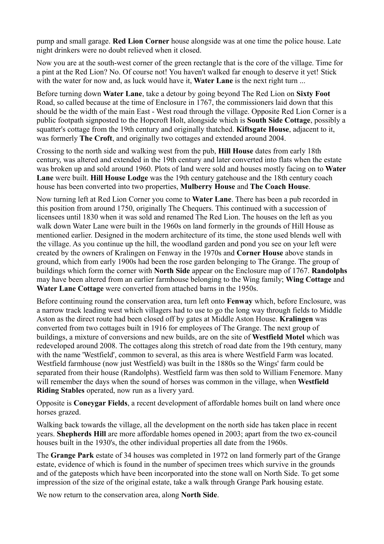pump and small garage. **Red Lion Corner** house alongside was at one time the police house. Late night drinkers were no doubt relieved when it closed.

Now you are at the south-west corner of the green rectangle that is the core of the village. Time for a pint at the Red Lion? No. Of course not! You haven't walked far enough to deserve it yet! Stick with the water for now and, as luck would have it, **Water Lane** is the next right turn ...

Before turning down **Water Lane**, take a detour by going beyond The Red Lion on **Sixty Foot** Road, so called because at the time of Enclosure in 1767, the commissioners laid down that this should be the width of the main East - West road through the village. Opposite Red Lion Corner is a public footpath signposted to the Hopcroft Holt, alongside which is **South Side Cottage**, possibly a squatter's cottage from the 19th century and originally thatched. **Kiftsgate House**, adjacent to it, was formerly **The Croft**, and originally two cottages and extended around 2004.

Crossing to the north side and walking west from the pub, **Hill House** dates from early 18th century, was altered and extended in the 19th century and later converted into flats when the estate was broken up and sold around 1960. Plots of land were sold and houses mostly facing on to **Water Lane** were built. **Hill House Lodge** was the 19th century gatehouse and the 18th century coach house has been converted into two properties, **Mulberry House** and **The Coach House**.

Now turning left at Red Lion Corner you come to **Water Lane**. There has been a pub recorded in this position from around 1750, originally The Chequers. This continued with a succession of licensees until 1830 when it was sold and renamed The Red Lion. The houses on the left as you walk down Water Lane were built in the 1960s on land formerly in the grounds of Hill House as mentioned earlier. Designed in the modern architecture of its time, the stone used blends well with the village. As you continue up the hill, the woodland garden and pond you see on your left were created by the owners of Kralingen on Fenway in the 1970s and **Corner House** above stands in ground, which from early 1900s had been the rose garden belonging to The Grange. The group of buildings which form the corner with **North Side** appear on the Enclosure map of 1767. **Randolphs** may have been altered from an earlier farmhouse belonging to the Wing family; **Wing Cottage** and **Water Lane Cottage** were converted from attached barns in the 1950s.

Before continuing round the conservation area, turn left onto **Fenway** which, before Enclosure, was a narrow track leading west which villagers had to use to go the long way through fields to Middle Aston as the direct route had been closed off by gates at Middle Aston House. **Kralingen** was converted from two cottages built in 1916 for employees of The Grange. The next group of buildings, a mixture of conversions and new builds, are on the site of **Westfield Motel** which was redeveloped around 2008. The cottages along this stretch of road date from the 19th century, many with the name 'Westfield', common to several, as this area is where Westfield Farm was located. Westfield farmhouse (now just Westfield) was built in the 1880s so the Wings' farm could be separated from their house (Randolphs). Westfield farm was then sold to William Fenemore. Many will remember the days when the sound of horses was common in the village, when **Westfield Riding Stables** operated, now run as a livery yard.

Opposite is **Coneygar Fields**, a recent development of affordable homes built on land where once horses grazed.

Walking back towards the village, all the development on the north side has taken place in recent years. **Shepherds Hill** are more affordable homes opened in 2003; apart from the two ex-council houses built in the 1930's, the other individual properties all date from the 1960s.

The **Grange Park** estate of 34 houses was completed in 1972 on land formerly part of the Grange estate, evidence of which is found in the number of specimen trees which survive in the grounds and of the gateposts which have been incorporated into the stone wall on North Side. To get some impression of the size of the original estate, take a walk through Grange Park housing estate.

We now return to the conservation area, along **North Side**.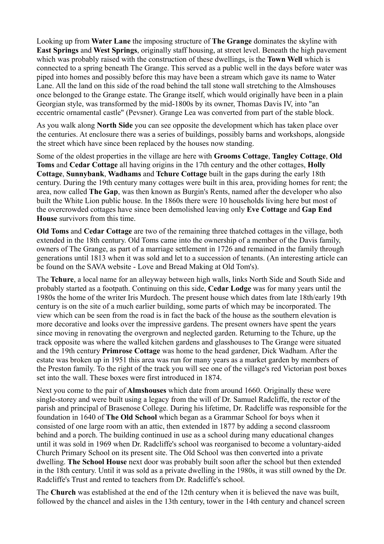Looking up from **Water Lane** the imposing structure of **The Grange** dominates the skyline with **East Springs** and **West Springs**, originally staff housing, at street level. Beneath the high pavement which was probably raised with the construction of these dwellings, is the **Town Well** which is connected to a spring beneath The Grange. This served as a public well in the days before water was piped into homes and possibly before this may have been a stream which gave its name to Water Lane. All the land on this side of the road behind the tall stone wall stretching to the Almshouses once belonged to the Grange estate. The Grange itself, which would originally have been in a plain Georgian style, was transformed by the mid-1800s by its owner, Thomas Davis IV, into "an eccentric ornamental castle" (Pevsner). Grange Lea was converted from part of the stable block.

As you walk along **North Side** you can see opposite the development which has taken place over the centuries. At enclosure there was a series of buildings, possibly barns and workshops, alongside the street which have since been replaced by the houses now standing.

Some of the oldest properties in the village are here with **Grooms Cottage**, **Tangley Cottage**, **Old Toms** and **Cedar Cottage** all having origins in the 17th century and the other cottages, **Holly Cottage**, **Sunnybank**, **Wadhams** and **Tchure Cottage** built in the gaps during the early 18th century. During the 19th century many cottages were built in this area, providing homes for rent; the area, now called **The Gap**, was then known as Burgin's Rents, named after the developer who also built the White Lion public house. In the 1860s there were 10 households living here but most of the overcrowded cottages have since been demolished leaving only **Eve Cottage** and **Gap End House** survivors from this time.

**Old Toms** and **Cedar Cottage** are two of the remaining three thatched cottages in the village, both extended in the 18th century. Old Toms came into the ownership of a member of the Davis family, owners of The Grange, as part of a marriage settlement in 1726 and remained in the family through generations until 1813 when it was sold and let to a succession of tenants. (An interesting article can be found on the SAVA website - Love and Bread Making at Old Tom's).

The **Tchure**, a local name for an alleyway between high walls, links North Side and South Side and probably started as a footpath. Continuing on this side, **Cedar Lodge** was for many years until the 1980s the home of the writer Iris Murdoch. The present house which dates from late 18th/early 19th century is on the site of a much earlier building, some parts of which may be incorporated. The view which can be seen from the road is in fact the back of the house as the southern elevation is more decorative and looks over the impressive gardens. The present owners have spent the years since moving in renovating the overgrown and neglected garden. Returning to the Tchure, up the track opposite was where the walled kitchen gardens and glasshouses to The Grange were situated and the 19th century **Primrose Cottage** was home to the head gardener, Dick Wadham. After the estate was broken up in 1951 this area was run for many years as a market garden by members of the Preston family. To the right of the track you will see one of the village's red Victorian post boxes set into the wall. These boxes were first introduced in 1874.

Next you come to the pair of **Almshouses** which date from around 1660. Originally these were single-storey and were built using a legacy from the will of Dr. Samuel Radcliffe, the rector of the parish and principal of Brasenose College. During his lifetime, Dr. Radcliffe was responsible for the foundation in 1640 of **The Old School** which began as a Grammar School for boys when it consisted of one large room with an attic, then extended in 1877 by adding a second classroom behind and a porch. The building continued in use as a school during many educational changes until it was sold in 1969 when Dr. Radcliffe's school was reorganised to become a voluntary-aided Church Primary School on its present site. The Old School was then converted into a private dwelling. **The School House** next door was probably built soon after the school but then extended in the 18th century. Until it was sold as a private dwelling in the 1980s, it was still owned by the Dr. Radcliffe's Trust and rented to teachers from Dr. Radcliffe's school.

The **Church** was established at the end of the 12th century when it is believed the nave was built, followed by the chancel and aisles in the 13th century, tower in the 14th century and chancel screen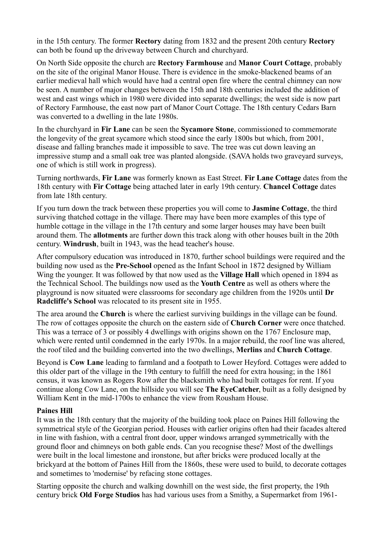in the 15th century. The former **Rectory** dating from 1832 and the present 20th century **Rectory** can both be found up the driveway between Church and churchyard.

On North Side opposite the church are **Rectory Farmhouse** and **Manor Court Cottage**, probably on the site of the original Manor House. There is evidence in the smoke-blackened beams of an earlier medieval hall which would have had a central open fire where the central chimney can now be seen. A number of major changes between the 15th and 18th centuries included the addition of west and east wings which in 1980 were divided into separate dwellings; the west side is now part of Rectory Farmhouse, the east now part of Manor Court Cottage. The 18th century Cedars Barn was converted to a dwelling in the late 1980s.

In the churchyard in **Fir Lane** can be seen the **Sycamore Stone**, commissioned to commemorate the longevity of the great sycamore which stood since the early 1800s but which, from 2001, disease and falling branches made it impossible to save. The tree was cut down leaving an impressive stump and a small oak tree was planted alongside. (SAVA holds two graveyard surveys, one of which is still work in progress).

Turning northwards, **Fir Lane** was formerly known as East Street. **Fir Lane Cottage** dates from the 18th century with **Fir Cottage** being attached later in early 19th century. **Chancel Cottage** dates from late 18th century.

If you turn down the track between these properties you will come to **Jasmine Cottage**, the third surviving thatched cottage in the village. There may have been more examples of this type of humble cottage in the village in the 17th century and some larger houses may have been built around them. The **allotments** are further down this track along with other houses built in the 20th century. **Windrush**, built in 1943, was the head teacher's house.

After compulsory education was introduced in 1870, further school buildings were required and the building now used as the **Pre-School** opened as the Infant School in 1872 designed by William Wing the younger. It was followed by that now used as the **Village Hall** which opened in 1894 as the Technical School. The buildings now used as the **Youth Centre** as well as others where the playground is now situated were classrooms for secondary age children from the 1920s until **Dr Radcliffe's School** was relocated to its present site in 1955.

The area around the **Church** is where the earliest surviving buildings in the village can be found. The row of cottages opposite the church on the eastern side of **Church Corner** were once thatched. This was a terrace of 3 or possibly 4 dwellings with origins shown on the 1767 Enclosure map, which were rented until condemned in the early 1970s. In a major rebuild, the roof line was altered, the roof tiled and the building converted into the two dwellings, **Merlins** and **Church Cottage**.

Beyond is **Cow Lane** leading to farmland and a footpath to Lower Heyford. Cottages were added to this older part of the village in the 19th century to fulfill the need for extra housing; in the 1861 census, it was known as Rogers Row after the blacksmith who had built cottages for rent. If you continue along Cow Lane, on the hillside you will see **The EyeCatcher**, built as a folly designed by William Kent in the mid-1700s to enhance the view from Rousham House.

## **Paines Hill**

It was in the 18th century that the majority of the building took place on Paines Hill following the symmetrical style of the Georgian period. Houses with earlier origins often had their facades altered in line with fashion, with a central front door, upper windows arranged symmetrically with the ground floor and chimneys on both gable ends. Can you recognise these? Most of the dwellings were built in the local limestone and ironstone, but after bricks were produced locally at the brickyard at the bottom of Paines Hill from the 1860s, these were used to build, to decorate cottages and sometimes to 'modernise' by refacing stone cottages.

Starting opposite the church and walking downhill on the west side, the first property, the 19th century brick **Old Forge Studios** has had various uses from a Smithy, a Supermarket from 1961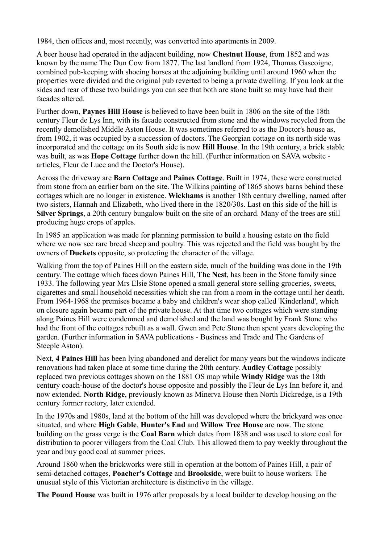1984, then offices and, most recently, was converted into apartments in 2009.

A beer house had operated in the adjacent building, now **Chestnut House**, from 1852 and was known by the name The Dun Cow from 1877. The last landlord from 1924, Thomas Gascoigne, combined pub-keeping with shoeing horses at the adjoining building until around 1960 when the properties were divided and the original pub reverted to being a private dwelling. If you look at the sides and rear of these two buildings you can see that both are stone built so may have had their facades altered.

Further down, **Paynes Hill House** is believed to have been built in 1806 on the site of the 18th century Fleur de Lys Inn, with its facade constructed from stone and the windows recycled from the recently demolished Middle Aston House. It was sometimes referred to as the Doctor's house as, from 1902, it was occupied by a succession of doctors. The Georgian cottage on its north side was incorporated and the cottage on its South side is now **Hill House**. In the 19th century, a brick stable was built, as was **Hope Cottage** further down the hill. (Further information on SAVA website articles, Fleur de Luce and the Doctor's House).

Across the driveway are **Barn Cottage** and **Paines Cottage**. Built in 1974, these were constructed from stone from an earlier barn on the site. The Wilkins painting of 1865 shows barns behind these cottages which are no longer in existence. **Wickhams** is another 18th century dwelling, named after two sisters, Hannah and Elizabeth, who lived there in the 1820/30s. Last on this side of the hill is **Silver Springs**, a 20th century bungalow built on the site of an orchard. Many of the trees are still producing huge crops of apples.

In 1985 an application was made for planning permission to build a housing estate on the field where we now see rare breed sheep and poultry. This was rejected and the field was bought by the owners of **Duckets** opposite, so protecting the character of the village.

Walking from the top of Paines Hill on the eastern side, much of the building was done in the 19th century. The cottage which faces down Paines Hill, **The Nest**, has been in the Stone family since 1933. The following year Mrs Elsie Stone opened a small general store selling groceries, sweets, cigarettes and small household necessities which she ran from a room in the cottage until her death. From 1964-1968 the premises became a baby and children's wear shop called 'Kinderland', which on closure again became part of the private house. At that time two cottages which were standing along Paines Hill were condemned and demolished and the land was bought by Frank Stone who had the front of the cottages rebuilt as a wall. Gwen and Pete Stone then spent years developing the garden. (Further information in SAVA publications - Business and Trade and The Gardens of Steeple Aston).

Next, **4 Paines Hill** has been lying abandoned and derelict for many years but the windows indicate renovations had taken place at some time during the 20th century. **Audley Cottage** possibly replaced two previous cottages shown on the 1881 OS map while **Windy Ridge** was the 18th century coach-house of the doctor's house opposite and possibly the Fleur de Lys Inn before it, and now extended. **North Ridge**, previously known as Minerva House then North Dickredge, is a 19th century former rectory, later extended.

In the 1970s and 1980s, land at the bottom of the hill was developed where the brickyard was once situated, and where **High Gable**, **Hunter's End** and **Willow Tree House** are now. The stone building on the grass verge is the **Coal Barn** which dates from 1838 and was used to store coal for distribution to poorer villagers from the Coal Club. This allowed them to pay weekly throughout the year and buy good coal at summer prices.

Around 1860 when the brickworks were still in operation at the bottom of Paines Hill, a pair of semi-detached cottages, **Poacher's Cottage** and **Brookside**, were built to house workers. The unusual style of this Victorian architecture is distinctive in the village.

**The Pound House** was built in 1976 after proposals by a local builder to develop housing on the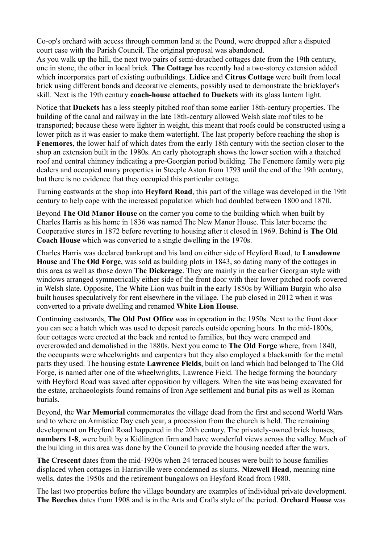Co-op's orchard with access through common land at the Pound, were dropped after a disputed court case with the Parish Council. The original proposal was abandoned.

As you walk up the hill, the next two pairs of semi-detached cottages date from the 19th century, one in stone, the other in local brick. **The Cottage** has recently had a two-storey extension added which incorporates part of existing outbuildings. **Lidice** and **Citrus Cottage** were built from local brick using different bonds and decorative elements, possibly used to demonstrate the bricklayer's skill. Next is the 19th century **coach-house attached to Duckets** with its glass lantern light.

Notice that **Duckets** has a less steeply pitched roof than some earlier 18th-century properties. The building of the canal and railway in the late 18th-century allowed Welsh slate roof tiles to be transported; because these were lighter in weight, this meant that roofs could be constructed using a lower pitch as it was easier to make them watertight. The last property before reaching the shop is **Fenemores**, the lower half of which dates from the early 18th century with the section closer to the shop an extension built in the 1980s. An early photograph shows the lower section with a thatched roof and central chimney indicating a pre-Georgian period building. The Fenemore family were pig dealers and occupied many properties in Steeple Aston from 1793 until the end of the 19th century, but there is no evidence that they occupied this particular cottage.

Turning eastwards at the shop into **Heyford Road**, this part of the village was developed in the 19th century to help cope with the increased population which had doubled between 1800 and 1870.

Beyond **The Old Manor House** on the corner you come to the building which when built by Charles Harris as his home in 1836 was named The New Manor House. This later became the Cooperative stores in 1872 before reverting to housing after it closed in 1969. Behind is **The Old Coach House** which was converted to a single dwelling in the 1970s.

Charles Harris was declared bankrupt and his land on either side of Heyford Road, to **Lansdowne House** and **The Old Forge**, was sold as building plots in 1843, so dating many of the cottages in this area as well as those down **The Dickerage**. They are mainly in the earlier Georgian style with windows arranged symmetrically either side of the front door with their lower pitched roofs covered in Welsh slate. Opposite, The White Lion was built in the early 1850s by William Burgin who also built houses speculatively for rent elsewhere in the village. The pub closed in 2012 when it was converted to a private dwelling and renamed **White Lion House**.

Continuing eastwards, **The Old Post Office** was in operation in the 1950s. Next to the front door you can see a hatch which was used to deposit parcels outside opening hours. In the mid-1800s, four cottages were erected at the back and rented to families, but they were cramped and overcrowded and demolished in the 1880s. Next you come to **The Old Forge** where, from 1840, the occupants were wheelwrights and carpenters but they also employed a blacksmith for the metal parts they used. The housing estate **Lawrence Fields**, built on land which had belonged to The Old Forge, is named after one of the wheelwrights, Lawrence Field. The hedge forming the boundary with Heyford Road was saved after opposition by villagers. When the site was being excavated for the estate, archaeologists found remains of Iron Age settlement and burial pits as well as Roman burials.

Beyond, the **War Memorial** commemorates the village dead from the first and second World Wars and to where on Armistice Day each year, a procession from the church is held. The remaining development on Heyford Road happened in the 20th century. The privately-owned brick houses, **numbers 1-8**, were built by a Kidlington firm and have wonderful views across the valley. Much of the building in this area was done by the Council to provide the housing needed after the wars.

**The Crescent** dates from the mid-1930s when 24 terraced houses were built to house families displaced when cottages in Harrisville were condemned as slums. **Nizewell Head**, meaning nine wells, dates the 1950s and the retirement bungalows on Heyford Road from 1980.

The last two properties before the village boundary are examples of individual private development. **The Beeches** dates from 1908 and is in the Arts and Crafts style of the period. **Orchard House** was